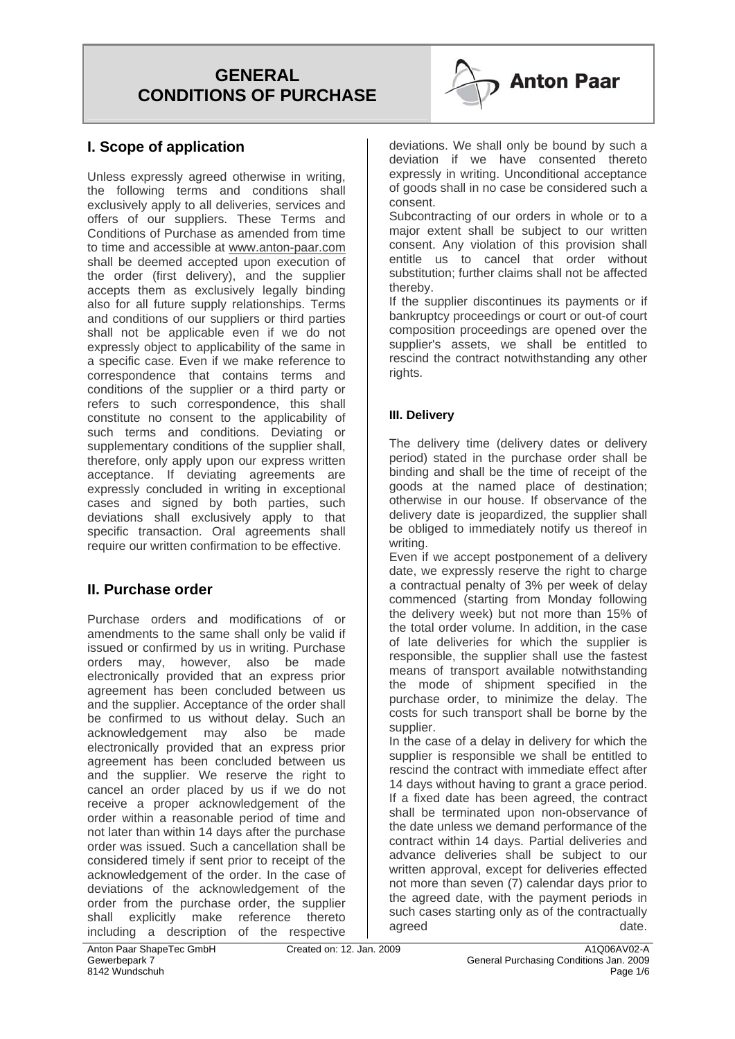

### **I. Scope of application**

Unless expressly agreed otherwise in writing, the following terms and conditions shall exclusively apply to all deliveries, services and offers of our suppliers. These Terms and Conditions of Purchase as amended from time to time and accessible at www.anton-paar.com shall be deemed accepted upon execution of the order (first delivery), and the supplier accepts them as exclusively legally binding also for all future supply relationships. Terms and conditions of our suppliers or third parties shall not be applicable even if we do not expressly object to applicability of the same in a specific case. Even if we make reference to correspondence that contains terms and conditions of the supplier or a third party or refers to such correspondence, this shall constitute no consent to the applicability of such terms and conditions. Deviating or supplementary conditions of the supplier shall, therefore, only apply upon our express written acceptance. If deviating agreements are expressly concluded in writing in exceptional cases and signed by both parties, such deviations shall exclusively apply to that specific transaction. Oral agreements shall require our written confirmation to be effective.

### **II. Purchase order**

Purchase orders and modifications of or amendments to the same shall only be valid if issued or confirmed by us in writing. Purchase orders may, however, also be made electronically provided that an express prior agreement has been concluded between us and the supplier. Acceptance of the order shall be confirmed to us without delay. Such an acknowledgement may also be made electronically provided that an express prior agreement has been concluded between us and the supplier. We reserve the right to cancel an order placed by us if we do not receive a proper acknowledgement of the order within a reasonable period of time and not later than within 14 days after the purchase order was issued. Such a cancellation shall be considered timely if sent prior to receipt of the acknowledgement of the order. In the case of deviations of the acknowledgement of the order from the purchase order, the supplier shall explicitly make reference thereto including a description of the respective

deviations. We shall only be bound by such a deviation if we have consented thereto expressly in writing. Unconditional acceptance of goods shall in no case be considered such a consent.

Subcontracting of our orders in whole or to a major extent shall be subject to our written consent. Any violation of this provision shall entitle us to cancel that order without substitution; further claims shall not be affected thereby.

If the supplier discontinues its payments or if bankruptcy proceedings or court or out-of court composition proceedings are opened over the supplier's assets, we shall be entitled to rescind the contract notwithstanding any other rights.

#### **III. Delivery**

The delivery time (delivery dates or delivery period) stated in the purchase order shall be binding and shall be the time of receipt of the goods at the named place of destination; otherwise in our house. If observance of the delivery date is jeopardized, the supplier shall be obliged to immediately notify us thereof in writing.

Even if we accept postponement of a delivery date, we expressly reserve the right to charge a contractual penalty of 3% per week of delay commenced (starting from Monday following the delivery week) but not more than 15% of the total order volume. In addition, in the case of late deliveries for which the supplier is responsible, the supplier shall use the fastest means of transport available notwithstanding the mode of shipment specified in the purchase order, to minimize the delay. The costs for such transport shall be borne by the supplier.

In the case of a delay in delivery for which the supplier is responsible we shall be entitled to rescind the contract with immediate effect after 14 days without having to grant a grace period. If a fixed date has been agreed, the contract shall be terminated upon non-observance of the date unless we demand performance of the contract within 14 days. Partial deliveries and advance deliveries shall be subject to our written approval, except for deliveries effected not more than seven (7) calendar days prior to the agreed date, with the payment periods in such cases starting only as of the contractually agreed and a structure of the date.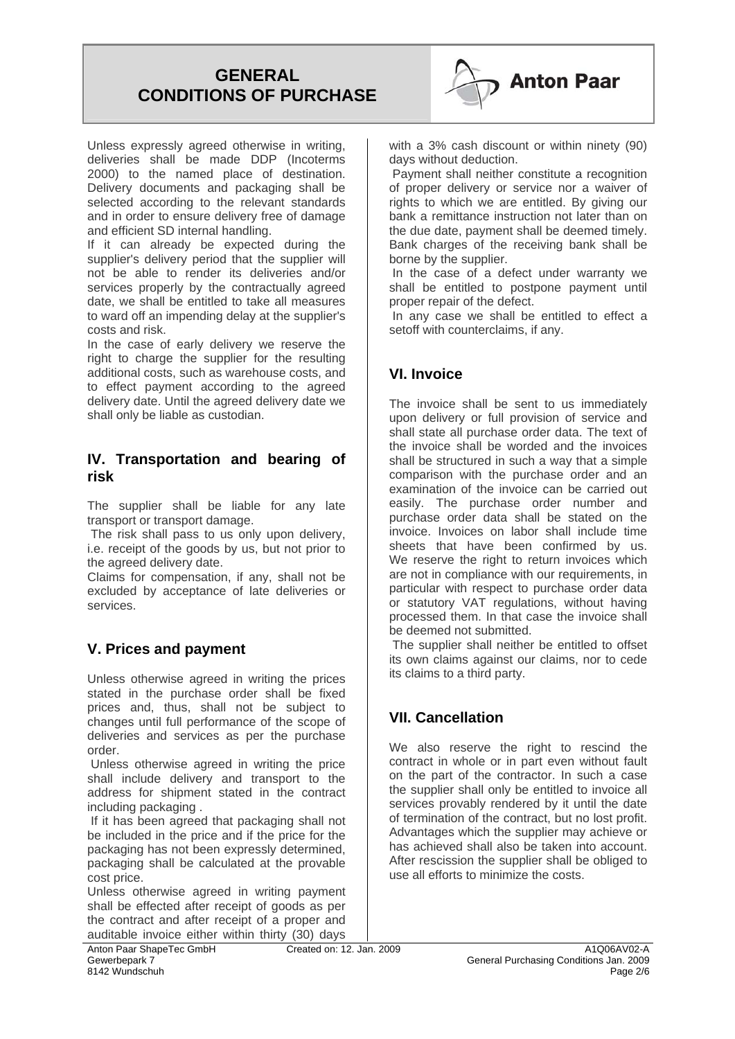

Unless expressly agreed otherwise in writing, deliveries shall be made DDP (Incoterms 2000) to the named place of destination. Delivery documents and packaging shall be selected according to the relevant standards and in order to ensure delivery free of damage and efficient SD internal handling.

If it can already be expected during the supplier's delivery period that the supplier will not be able to render its deliveries and/or services properly by the contractually agreed date, we shall be entitled to take all measures to ward off an impending delay at the supplier's costs and risk.

In the case of early delivery we reserve the right to charge the supplier for the resulting additional costs, such as warehouse costs, and to effect payment according to the agreed delivery date. Until the agreed delivery date we shall only be liable as custodian.

#### **IV. Transportation and bearing of risk**

The supplier shall be liable for any late transport or transport damage.

The risk shall pass to us only upon delivery. i.e. receipt of the goods by us, but not prior to the agreed delivery date.

Claims for compensation, if any, shall not be excluded by acceptance of late deliveries or services.

### **V. Prices and payment**

Unless otherwise agreed in writing the prices stated in the purchase order shall be fixed prices and, thus, shall not be subject to changes until full performance of the scope of deliveries and services as per the purchase order.

 Unless otherwise agreed in writing the price shall include delivery and transport to the address for shipment stated in the contract including packaging .

 If it has been agreed that packaging shall not be included in the price and if the price for the packaging has not been expressly determined, packaging shall be calculated at the provable cost price.

Unless otherwise agreed in writing payment shall be effected after receipt of goods as per the contract and after receipt of a proper and auditable invoice either within thirty (30) days

 Payment shall neither constitute a recognition of proper delivery or service nor a waiver of rights to which we are entitled. By giving our bank a remittance instruction not later than on the due date, payment shall be deemed timely. Bank charges of the receiving bank shall be borne by the supplier.

 In the case of a defect under warranty we shall be entitled to postpone payment until proper repair of the defect.

 In any case we shall be entitled to effect a setoff with counterclaims, if any.

### **VI. Invoice**

The invoice shall be sent to us immediately upon delivery or full provision of service and shall state all purchase order data. The text of the invoice shall be worded and the invoices shall be structured in such a way that a simple comparison with the purchase order and an examination of the invoice can be carried out easily. The purchase order number and purchase order data shall be stated on the invoice. Invoices on labor shall include time sheets that have been confirmed by us. We reserve the right to return invoices which are not in compliance with our requirements, in particular with respect to purchase order data or statutory VAT regulations, without having processed them. In that case the invoice shall be deemed not submitted.

 The supplier shall neither be entitled to offset its own claims against our claims, nor to cede its claims to a third party.

### **VII. Cancellation**

We also reserve the right to rescind the contract in whole or in part even without fault on the part of the contractor. In such a case the supplier shall only be entitled to invoice all services provably rendered by it until the date of termination of the contract, but no lost profit. Advantages which the supplier may achieve or has achieved shall also be taken into account. After rescission the supplier shall be obliged to use all efforts to minimize the costs.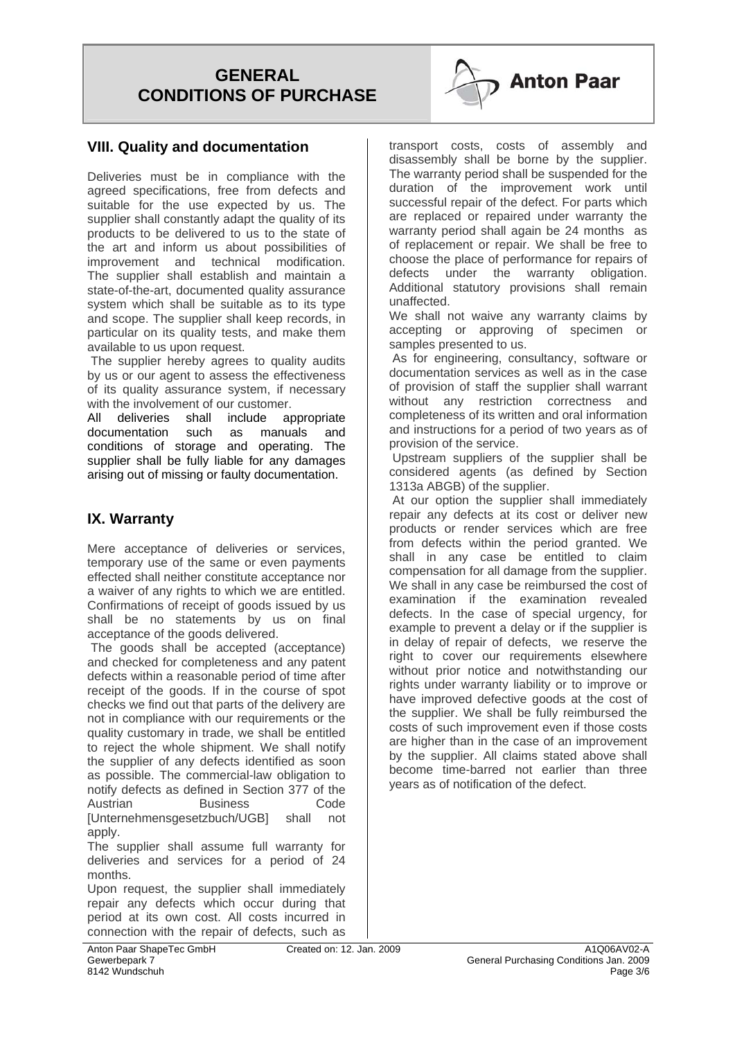#### **VIII. Quality and documentation**

Deliveries must be in compliance with the agreed specifications, free from defects and suitable for the use expected by us. The supplier shall constantly adapt the quality of its products to be delivered to us to the state of the art and inform us about possibilities of improvement and technical modification. The supplier shall establish and maintain a state-of-the-art, documented quality assurance system which shall be suitable as to its type and scope. The supplier shall keep records, in particular on its quality tests, and make them available to us upon request.

The supplier hereby agrees to quality audits by us or our agent to assess the effectiveness of its quality assurance system, if necessary with the involvement of our customer.

All deliveries shall include appropriate documentation such as manuals and conditions of storage and operating. The supplier shall be fully liable for any damages arising out of missing or faulty documentation.

#### **IX. Warranty**

Mere acceptance of deliveries or services, temporary use of the same or even payments effected shall neither constitute acceptance nor a waiver of any rights to which we are entitled. Confirmations of receipt of goods issued by us shall be no statements by us on final acceptance of the goods delivered.

 The goods shall be accepted (acceptance) and checked for completeness and any patent defects within a reasonable period of time after receipt of the goods. If in the course of spot checks we find out that parts of the delivery are not in compliance with our requirements or the quality customary in trade, we shall be entitled to reject the whole shipment. We shall notify the supplier of any defects identified as soon as possible. The commercial-law obligation to notify defects as defined in Section 377 of the Austrian Business Code [Unternehmensgesetzbuch/UGB] shall not apply.

The supplier shall assume full warranty for deliveries and services for a period of 24 months.

Upon request, the supplier shall immediately repair any defects which occur during that period at its own cost. All costs incurred in connection with the repair of defects, such as



transport costs, costs of assembly and disassembly shall be borne by the supplier. The warranty period shall be suspended for the duration of the improvement work until successful repair of the defect. For parts which are replaced or repaired under warranty the warranty period shall again be 24 months as of replacement or repair. We shall be free to choose the place of performance for repairs of defects under the warranty obligation. Additional statutory provisions shall remain unaffected.

We shall not waive any warranty claims by accepting or approving of specimen or samples presented to us.

 As for engineering, consultancy, software or documentation services as well as in the case of provision of staff the supplier shall warrant without any restriction correctness and completeness of its written and oral information and instructions for a period of two years as of provision of the service.

 Upstream suppliers of the supplier shall be considered agents (as defined by Section 1313a ABGB) of the supplier.

 At our option the supplier shall immediately repair any defects at its cost or deliver new products or render services which are free from defects within the period granted. We shall in any case be entitled to claim compensation for all damage from the supplier. We shall in any case be reimbursed the cost of examination if the examination revealed defects. In the case of special urgency, for example to prevent a delay or if the supplier is in delay of repair of defects, we reserve the right to cover our requirements elsewhere without prior notice and notwithstanding our rights under warranty liability or to improve or have improved defective goods at the cost of the supplier. We shall be fully reimbursed the costs of such improvement even if those costs are higher than in the case of an improvement by the supplier. All claims stated above shall become time-barred not earlier than three years as of notification of the defect.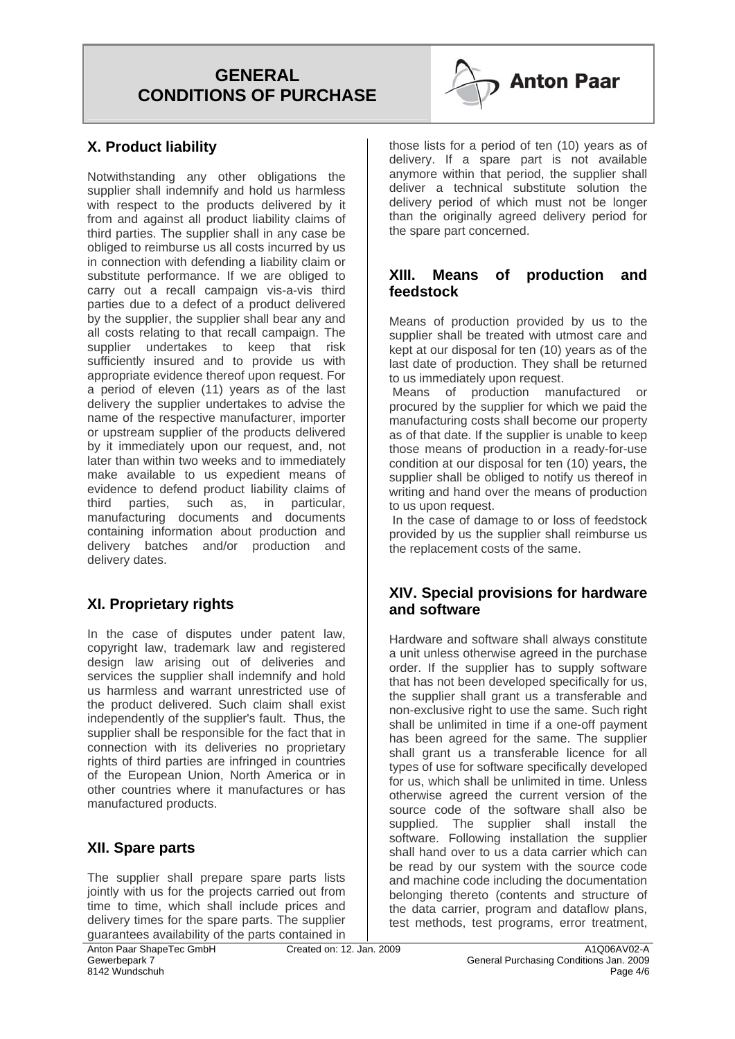

### **X. Product liability**

Notwithstanding any other obligations the supplier shall indemnify and hold us harmless with respect to the products delivered by it from and against all product liability claims of third parties. The supplier shall in any case be obliged to reimburse us all costs incurred by us in connection with defending a liability claim or substitute performance. If we are obliged to carry out a recall campaign vis-a-vis third parties due to a defect of a product delivered by the supplier, the supplier shall bear any and all costs relating to that recall campaign. The supplier undertakes to keep that risk sufficiently insured and to provide us with appropriate evidence thereof upon request. For a period of eleven (11) years as of the last delivery the supplier undertakes to advise the name of the respective manufacturer, importer or upstream supplier of the products delivered by it immediately upon our request, and, not later than within two weeks and to immediately make available to us expedient means of evidence to defend product liability claims of third parties, such as, in particular, manufacturing documents and documents containing information about production and delivery batches and/or production and delivery dates.

### **XI. Proprietary rights**

In the case of disputes under patent law, copyright law, trademark law and registered design law arising out of deliveries and services the supplier shall indemnify and hold us harmless and warrant unrestricted use of the product delivered. Such claim shall exist independently of the supplier's fault. Thus, the supplier shall be responsible for the fact that in connection with its deliveries no proprietary rights of third parties are infringed in countries of the European Union, North America or in other countries where it manufactures or has manufactured products.

### **XII. Spare parts**

The supplier shall prepare spare parts lists jointly with us for the projects carried out from time to time, which shall include prices and delivery times for the spare parts. The supplier guarantees availability of the parts contained in those lists for a period of ten (10) years as of delivery. If a spare part is not available anymore within that period, the supplier shall deliver a technical substitute solution the delivery period of which must not be longer than the originally agreed delivery period for the spare part concerned.

#### **XIII. Means of production and feedstock**

Means of production provided by us to the supplier shall be treated with utmost care and kept at our disposal for ten (10) years as of the last date of production. They shall be returned to us immediately upon request.

 Means of production manufactured or procured by the supplier for which we paid the manufacturing costs shall become our property as of that date. If the supplier is unable to keep those means of production in a ready-for-use condition at our disposal for ten (10) years, the supplier shall be obliged to notify us thereof in writing and hand over the means of production to us upon request.

 In the case of damage to or loss of feedstock provided by us the supplier shall reimburse us the replacement costs of the same.

#### **XIV. Special provisions for hardware and software**

Hardware and software shall always constitute a unit unless otherwise agreed in the purchase order. If the supplier has to supply software that has not been developed specifically for us, the supplier shall grant us a transferable and non-exclusive right to use the same. Such right shall be unlimited in time if a one-off payment has been agreed for the same. The supplier shall grant us a transferable licence for all types of use for software specifically developed for us, which shall be unlimited in time. Unless otherwise agreed the current version of the source code of the software shall also be supplied. The supplier shall install the software. Following installation the supplier shall hand over to us a data carrier which can be read by our system with the source code and machine code including the documentation belonging thereto (contents and structure of the data carrier, program and dataflow plans, test methods, test programs, error treatment,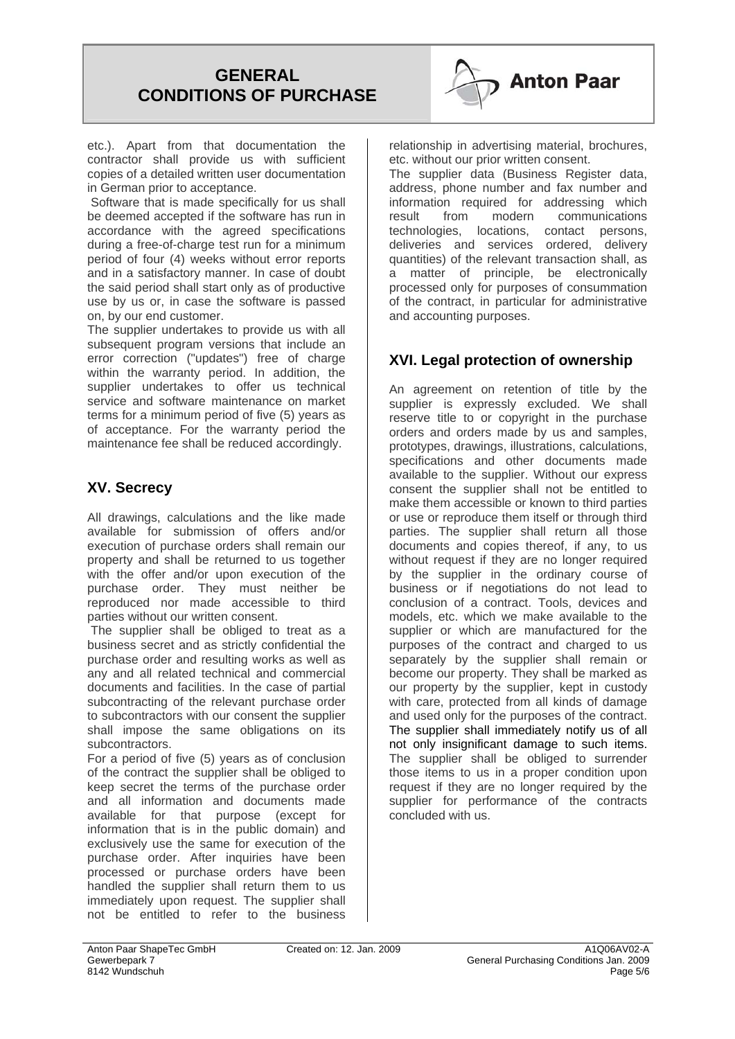

etc.). Apart from that documentation the contractor shall provide us with sufficient copies of a detailed written user documentation in German prior to acceptance.

 Software that is made specifically for us shall be deemed accepted if the software has run in accordance with the agreed specifications during a free-of-charge test run for a minimum period of four (4) weeks without error reports and in a satisfactory manner. In case of doubt the said period shall start only as of productive use by us or, in case the software is passed on, by our end customer.

The supplier undertakes to provide us with all subsequent program versions that include an error correction ("updates") free of charge within the warranty period. In addition, the supplier undertakes to offer us technical service and software maintenance on market terms for a minimum period of five (5) years as of acceptance. For the warranty period the maintenance fee shall be reduced accordingly.

### **XV. Secrecy**

All drawings, calculations and the like made available for submission of offers and/or execution of purchase orders shall remain our property and shall be returned to us together with the offer and/or upon execution of the purchase order. They must neither be reproduced nor made accessible to third parties without our written consent.

The supplier shall be obliged to treat as a business secret and as strictly confidential the purchase order and resulting works as well as any and all related technical and commercial documents and facilities. In the case of partial subcontracting of the relevant purchase order to subcontractors with our consent the supplier shall impose the same obligations on its subcontractors.

For a period of five (5) years as of conclusion of the contract the supplier shall be obliged to keep secret the terms of the purchase order and all information and documents made available for that purpose (except for information that is in the public domain) and exclusively use the same for execution of the purchase order. After inquiries have been processed or purchase orders have been handled the supplier shall return them to us immediately upon request. The supplier shall not be entitled to refer to the business relationship in advertising material, brochures, etc. without our prior written consent.

The supplier data (Business Register data, address, phone number and fax number and information required for addressing which result from modern communications technologies, locations, contact persons, deliveries and services ordered, delivery quantities) of the relevant transaction shall, as a matter of principle, be electronically processed only for purposes of consummation of the contract, in particular for administrative and accounting purposes.

## **XVI. Legal protection of ownership**

An agreement on retention of title by the supplier is expressly excluded. We shall reserve title to or copyright in the purchase orders and orders made by us and samples, prototypes, drawings, illustrations, calculations, specifications and other documents made available to the supplier. Without our express consent the supplier shall not be entitled to make them accessible or known to third parties or use or reproduce them itself or through third parties. The supplier shall return all those documents and copies thereof, if any, to us without request if they are no longer required by the supplier in the ordinary course of business or if negotiations do not lead to conclusion of a contract. Tools, devices and models, etc. which we make available to the supplier or which are manufactured for the purposes of the contract and charged to us separately by the supplier shall remain or become our property. They shall be marked as our property by the supplier, kept in custody with care, protected from all kinds of damage and used only for the purposes of the contract. The supplier shall immediately notify us of all not only insignificant damage to such items. The supplier shall be obliged to surrender those items to us in a proper condition upon request if they are no longer required by the supplier for performance of the contracts concluded with us.